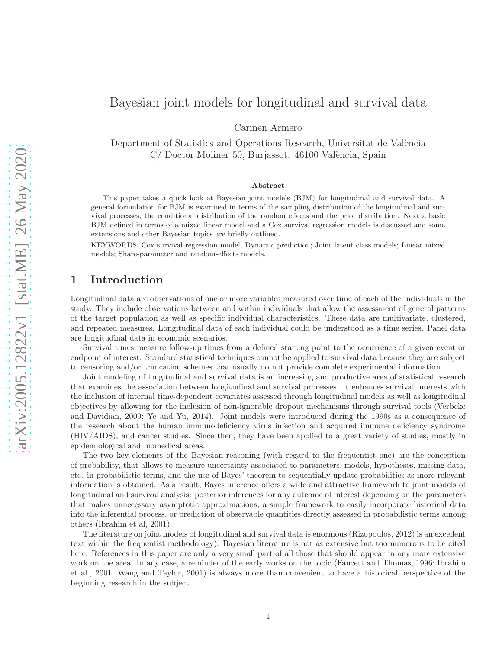# Bayesian joint models for longitudinal and survival data

Carmen Armero

Department of Statistics and Operations Research, Universitat de València C/ Doctor Moliner 50, Burjassot. 46100 València, Spain

#### Abstract

This paper takes a quick look at Bayesian joint models (BJM) for longitudinal and survival data. A general formulation for BJM is examined in terms of the sampling distribution of the longitudinal and survival processes, the conditional distribution of the random effects and the prior distribution. Next a basic BJM defined in terms of a mixed linear model and a Cox survival regression models is discussed and some extensions and other Bayesian topics are briefly outlined.

KEYWORDS: Cox survival regression model; Dynamic prediction; Joint latent class models; Linear mixed models; Share-parameter and random-effects models.

## 1 Introduction

Longitudinal data are observations of one or more variables measured over time of each of the individuals in the study. They include observations between and within individuals that allow the assessment of general patterns of the target population as well as specific individual characteristics. These data are multivariate, clustered, and repeated measures. Longitudinal data of each individual could be understood as a time series. Panel data are longitudinal data in economic scenarios.

Survival times measure follow-up times from a defined starting point to the occurrence of a given event or endpoint of interest. Standard statistical techniques cannot be applied to survival data because they are subject to censoring and/or truncation schemes that usually do not provide complete experimental information.

Joint modeling of longitudinal and survival data is an increasing and productive area of statistical research that examines the association between longitudinal and survival processes. It enhances survival interests with the inclusion of internal time-dependent covariates assessed through longitudinal models as well as longitudinal objectives by allowing for the inclusion of non-ignorable dropout mechanisms through survival tools (Verbeke and Davidian, 2009; Ye and Yu, 2014). Joint models were introduced during the 1990s as a consequence of the research about the human immunodeficiency virus infection and acquired immune deficiency syndrome (HIV/AIDS), and cancer studies. Since then, they have been applied to a great variety of studies, mostly in epidemiological and biomedical areas.

The two key elements of the Bayesian reasoning (with regard to the frequentist one) are the conception of probability, that allows to measure uncertainty associated to parameters, models, hypotheses, missing data, etc. in probabilistic terms, and the use of Bayes' theorem to sequentially update probabilities as more relevant information is obtained. As a result, Bayes inference offers a wide and attractive framework to joint models of longitudinal and survival analysis: posterior inferences for any outcome of interest depending on the parameters that makes unnecessary asymptotic approximations, a simple framework to easily incorporate historical data into the inferential process, or prediction of observable quantities directly assessed in probabilistic terms among others (Ibrahim et al, 2001).

The literature on joint models of longitudinal and survival data is enormous (Rizopoulos, 2012) is an excellent text within the frequentist methodology). Bayesian literature is not as extensive but too numerous to be cited here. References in this paper are only a very small part of all those that should appear in any more extensive work on the area. In any case, a reminder of the early works on the topic (Faucett and Thomas, 1996; Ibrahim et al., 2001; Wang and Taylor, 2001) is always more than convenient to have a historical perspective of the beginning research in the subject.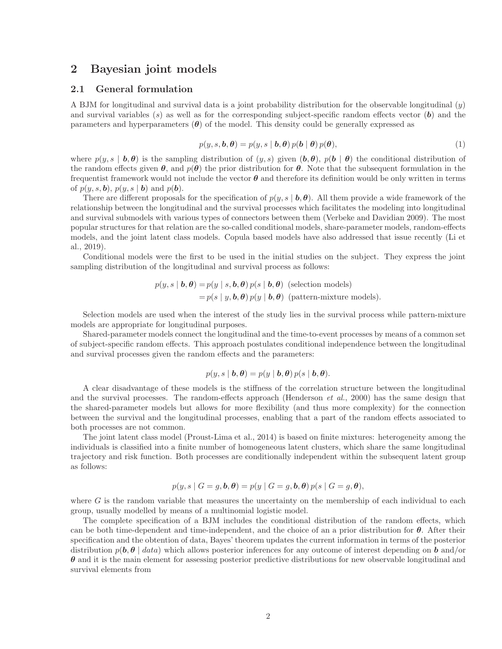## 2 Bayesian joint models

#### 2.1 General formulation

A BJM for longitudinal and survival data is a joint probability distribution for the observable longitudinal  $(y)$ and survival variables (s) as well as for the corresponding subject-specific random effects vector  $(b)$  and the parameters and hyperparameters  $(\theta)$  of the model. This density could be generally expressed as

$$
p(y, s, \mathbf{b}, \boldsymbol{\theta}) = p(y, s \mid \mathbf{b}, \boldsymbol{\theta}) p(\mathbf{b} \mid \boldsymbol{\theta}) p(\boldsymbol{\theta}), \tag{1}
$$

where  $p(y, s | b, \theta)$  is the sampling distribution of  $(y, s)$  given  $(b, \theta)$ ,  $p(b | \theta)$  the conditional distribution of the random effects given  $\theta$ , and  $p(\theta)$  the prior distribution for  $\theta$ . Note that the subsequent formulation in the frequentist framework would not include the vector  $\theta$  and therefore its definition would be only written in terms of  $p(y, s, b)$ ,  $p(y, s | b)$  and  $p(b)$ .

There are different proposals for the specification of  $p(y, s | b, \theta)$ . All them provide a wide framework of the relationship between the longitudinal and the survival processes which facilitates the modeling into longitudinal and survival submodels with various types of connectors between them (Verbeke and Davidian 2009). The most popular structures for that relation are the so-called conditional models, share-parameter models, random-effects models, and the joint latent class models. Copula based models have also addressed that issue recently (Li et al., 2019).

Conditional models were the first to be used in the initial studies on the subject. They express the joint sampling distribution of the longitudinal and survival process as follows:

$$
p(y, s | \mathbf{b}, \boldsymbol{\theta}) = p(y | s, \mathbf{b}, \boldsymbol{\theta}) p(s | \mathbf{b}, \boldsymbol{\theta})
$$
 (selection models)  
=  $p(s | y, \mathbf{b}, \boldsymbol{\theta}) p(y | \mathbf{b}, \boldsymbol{\theta})$  (pattern-mixture models).

Selection models are used when the interest of the study lies in the survival process while pattern-mixture models are appropriate for longitudinal purposes.

Shared-parameter models connect the longitudinal and the time-to-event processes by means of a common set of subject-specific random effects. This approach postulates conditional independence between the longitudinal and survival processes given the random effects and the parameters:

$$
p(y, s | \mathbf{b}, \boldsymbol{\theta}) = p(y | \mathbf{b}, \boldsymbol{\theta}) p(s | \mathbf{b}, \boldsymbol{\theta}).
$$

A clear disadvantage of these models is the stiffness of the correlation structure between the longitudinal and the survival processes. The random-effects approach (Henderson et al., 2000) has the same design that the shared-parameter models but allows for more flexibility (and thus more complexity) for the connection between the survival and the longitudinal processes, enabling that a part of the random effects associated to both processes are not common.

The joint latent class model (Proust-Lima et al., 2014) is based on finite mixtures: heterogeneity among the individuals is classified into a finite number of homogeneous latent clusters, which share the same longitudinal trajectory and risk function. Both processes are conditionally independent within the subsequent latent group as follows:

$$
p(y, s \mid G = g, \mathbf{b}, \mathbf{\theta}) = p(y \mid G = g, \mathbf{b}, \mathbf{\theta}) p(s \mid G = g, \mathbf{\theta}),
$$

where  $G$  is the random variable that measures the uncertainty on the membership of each individual to each group, usually modelled by means of a multinomial logistic model.

The complete specification of a BJM includes the conditional distribution of the random effects, which can be both time-dependent and time-independent, and the choice of an a prior distribution for  $\theta$ . After their specification and the obtention of data, Bayes' theorem updates the current information in terms of the posterior distribution  $p(b, \theta \mid data)$  which allows posterior inferences for any outcome of interest depending on b and/or  $\theta$  and it is the main element for assessing posterior predictive distributions for new observable longitudinal and survival elements from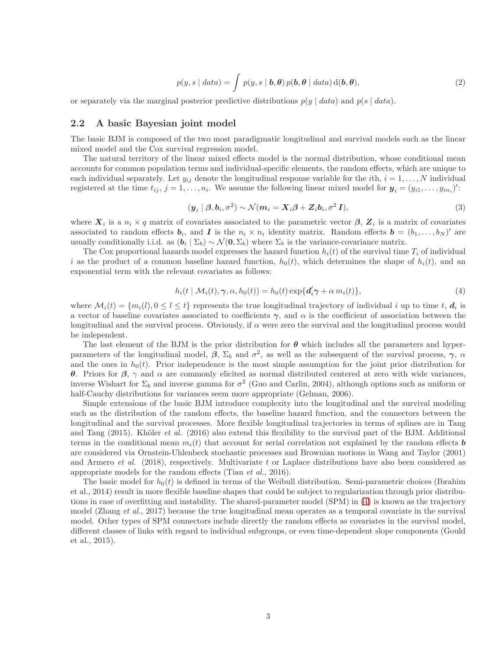$$
p(y, s \mid data) = \int p(y, s \mid \boldsymbol{b}, \boldsymbol{\theta}) p(\boldsymbol{b}, \boldsymbol{\theta} \mid data) d(\boldsymbol{b}, \boldsymbol{\theta}),
$$
\n(2)

or separately via the marginal posterior predictive distributions  $p(y \mid data)$  and  $p(s \mid data)$ .

#### 2.2 A basic Bayesian joint model

The basic BJM is composed of the two most paradigmatic longitudinal and survival models such as the linear mixed model and the Cox survival regression model.

The natural territory of the linear mixed effects model is the normal distribution, whose conditional mean accounts for common population terms and individual-specific elements, the random effects, which are unique to each individual separately. Let  $y_{ij}$  denote the longitudinal response variable for the *i*th,  $i = 1, ..., N$  individual registered at the time  $t_{ij}$ ,  $j = 1, \ldots, n_i$ . We assume the following linear mixed model for  $y_i = (y_{i1}, \ldots, y_{in_i})'$ :

$$
(\boldsymbol{y}_i \mid \boldsymbol{\beta}, \boldsymbol{b}_i, \sigma^2) \sim \mathcal{N}(\boldsymbol{m}_i = \boldsymbol{X}_i \boldsymbol{\beta} + \boldsymbol{Z}_i \boldsymbol{b}_i, \sigma^2 \boldsymbol{I}),
$$
\n(3)

where  $X_i$  is a  $n_i \times q$  matrix of covariates associated to the parametric vector  $\beta$ ,  $Z_i$  is a matrix of covariates associated to random effects  $b_i$ , and I is the  $n_i \times n_i$  identity matrix. Random effects  $\mathbf{b} = (b_1, \ldots, b_N)'$  are usually conditionally i.i.d. as  $(b_i | \Sigma_b) \sim \mathcal{N}(0, \Sigma_b)$  where  $\Sigma_b$  is the variance-covariance matrix.

The Cox proportional hazards model expresses the hazard function  $h_i(t)$  of the survival time  $T_i$  of individual i as the product of a common baseline hazard function,  $h_0(t)$ , which determines the shape of  $h_i(t)$ , and an exponential term with the relevant covariates as follows:

<span id="page-2-0"></span>
$$
h_i(t \mid \mathcal{M}_i(t), \gamma, \alpha, h_0(t)) = h_0(t) \exp\{d_i' \gamma + \alpha \, m_i(t)\},\tag{4}
$$

where  $\mathcal{M}_i(t) = \{m_i(l), 0 \le l \le t\}$  represents the true longitudinal trajectory of individual i up to time t,  $d_i$  is a vector of baseline covariates associated to coefficients  $\gamma$ , and  $\alpha$  is the coefficient of association between the longitudinal and the survival process. Obviously, if  $\alpha$  were zero the survival and the longitudinal process would be independent.

The last element of the BJM is the prior distribution for  $\theta$  which includes all the parameters and hyperparameters of the longitudinal model,  $\beta$ ,  $\Sigma_b$  and  $\sigma^2$ , as well as the subsequent of the survival process,  $\gamma$ ,  $\alpha$ and the ones in  $h_0(t)$ . Prior independence is the most simple assumption for the joint prior distribution for θ. Priors for β, γ and α are commonly elicited as normal distributed centered at zero with wide variances, inverse Wishart for  $\Sigma_b$  and inverse gamma for  $\sigma^2$  (Guo and Carlin, 2004), although options such as uniform or half-Cauchy distributions for variances seem more appropriate (Gelman, 2006).

Simple extensions of the basic BJM introduce complexity into the longitudinal and the survival modeling such as the distribution of the random effects, the baseline hazard function, and the connectors between the longitudinal and the survival processes. More flexible longitudinal trajectories in terms of splines are in Tang and Tang (2015). Khöler et al. (2016) also extend this flexibility to the survival part of the BJM. Additional terms in the conditional mean  $m_i(t)$  that account for serial correlation not explained by the random effects **b** are considered via Ornstein-Uhlenbeck stochastic processes and Brownian motions in Wang and Taylor (2001) and Armero et al. (2018), respectively. Multivariate t or Laplace distributions have also been considered as appropriate models for the random effects (Tian et al., 2016).

The basic model for  $h_0(t)$  is defined in terms of the Weibull distribution. Semi-parametric choices (Ibrahim et al., 2014) result in more flexible baseline shapes that could be subject to regularization through prior distributions in case of overfitting and instability. The shared-parameter model (SPM) in [\(4\)](#page-2-0) is known as the trajectory model (Zhang et al., 2017) because the true longitudinal mean operates as a temporal covariate in the survival model. Other types of SPM connectors include directly the random effects as covariates in the survival model, different classes of links with regard to individual subgroups, or even time-dependent slope components (Gould et al., 2015).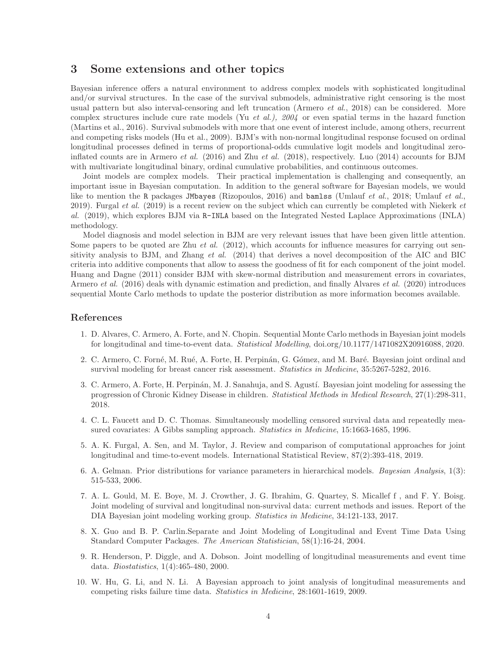## 3 Some extensions and other topics

Bayesian inference offers a natural environment to address complex models with sophisticated longitudinal and/or survival structures. In the case of the survival submodels, administrative right censoring is the most usual pattern but also interval-censoring and left truncation (Armero et al., 2018) can be considered. More complex structures include cure rate models (Yu et al.),  $2004$  or even spatial terms in the hazard function (Martins et al., 2016). Survival submodels with more that one event of interest include, among others, recurrent and competing risks models (Hu et al., 2009). BJM's with non-normal longitudinal response focused on ordinal longitudinal processes defined in terms of proportional-odds cumulative logit models and longitudinal zeroinflated counts are in Armero *et al.* (2016) and Zhu *et al.* (2018), respectively. Luo (2014) accounts for BJM with multivariate longitudinal binary, ordinal cumulative probabilities, and continuous outcomes.

Joint models are complex models. Their practical implementation is challenging and consequently, an important issue in Bayesian computation. In addition to the general software for Bayesian models, we would like to mention the R packages JMbayes (Rizopoulos, 2016) and bamlss (Umlauf et al., 2018; Umlauf et al., 2019). Furgal et al. (2019) is a recent review on the subject which can currently be completed with Niekerk  $et$ al. (2019), which explores BJM via R-INLA based on the Integrated Nested Laplace Approximations (INLA) methodology.

Model diagnosis and model selection in BJM are very relevant issues that have been given little attention. Some papers to be quoted are Zhu *et al.* (2012), which accounts for influence measures for carrying out sensitivity analysis to BJM, and Zhang et al. (2014) that derives a novel decomposition of the AIC and BIC criteria into additive components that allow to assess the goodness of fit for each component of the joint model. Huang and Dagne (2011) consider BJM with skew-normal distribution and measurement errors in covariates, Armero et al. (2016) deals with dynamic estimation and prediction, and finally Alvares et al. (2020) introduces sequential Monte Carlo methods to update the posterior distribution as more information becomes available.

### References

- 1. D. Alvares, C. Armero, A. Forte, and N. Chopin. Sequential Monte Carlo methods in Bayesian joint models for longitudinal and time-to-event data. Statistical Modelling, doi.org/10.1177/1471082X20916088, 2020.
- 2. C. Armero, C. Forné, M. Rué, A. Forte, H. Perpinán, G. Gómez, and M. Baré. Bayesian joint ordinal and survival modeling for breast cancer risk assessment. Statistics in Medicine, 35:5267-5282, 2016.
- 3. C. Armero, A. Forte, H. Perpinán, M. J. Sanahuja, and S. Agustí. Bayesian joint modeling for assessing the progression of Chronic Kidney Disease in children. Statistical Methods in Medical Research, 27(1):298-311, 2018.
- 4. C. L. Faucett and D. C. Thomas. Simultaneously modelling censored survival data and repeatedly measured covariates: A Gibbs sampling approach. Statistics in Medicine, 15:1663-1685, 1996.
- 5. A. K. Furgal, A. Sen, and M. Taylor, J. Review and comparison of computational approaches for joint longitudinal and time-to-event models. International Statistical Review, 87(2):393-418, 2019.
- 6. A. Gelman. Prior distributions for variance parameters in hierarchical models. Bayesian Analysis, 1(3): 515-533, 2006.
- 7. A. L. Gould, M. E. Boye, M. J. Crowther, J. G. Ibrahim, G. Quartey, S. Micallef f , and F. Y. Boisg. Joint modeling of survival and longitudinal non-survival data: current methods and issues. Report of the DIA Bayesian joint modeling working group. *Statistics in Medicine*, 34:121-133, 2017.
- 8. X. Guo and B. P. Carlin.Separate and Joint Modeling of Longitudinal and Event Time Data Using Standard Computer Packages. The American Statistician, 58(1):16-24, 2004.
- 9. R. Henderson, P. Diggle, and A. Dobson. Joint modelling of longitudinal measurements and event time data. Biostatistics, 1(4):465-480, 2000.
- 10. W. Hu, G. Li, and N. Li. A Bayesian approach to joint analysis of longitudinal measurements and competing risks failure time data. Statistics in Medicine, 28:1601-1619, 2009.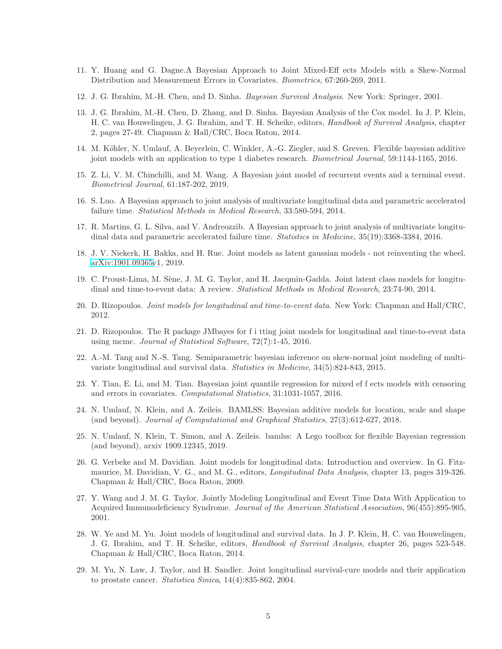- 11. Y. Huang and G. Dagne.A Bayesian Approach to Joint Mixed-Eff ects Models with a Skew-Normal Distribution and Measurement Errors in Covariates. Biometrics, 67:260-269, 2011.
- 12. J. G. Ibrahim, M.-H. Chen, and D. Sinha. Bayesian Survival Analysis. New York: Springer, 2001.
- 13. J. G. Ibrahim, M.-H. Chen, D. Zhang, and D. Sinha. Bayesian Analysis of the Cox model. In J. P. Klein, H. C. van Houwelingen, J. G. Ibrahim, and T. H. Scheike, editors, Handbook of Survival Analysis, chapter 2, pages 27-49. Chapman & Hall/CRC, Boca Raton, 2014.
- 14. M. Köhler, N. Umlauf, A. Beyerlein, C. Winkler, A.-G. Ziegler, and S. Greven. Flexible bayesian additive joint models with an application to type 1 diabetes research. *Biometrical Journal*, 59:1144-1165, 2016.
- 15. Z. Li, V. M. Chinchilli, and M. Wang. A Bayesian joint model of recurrent events and a terminal event. Biometrical Journal, 61:187-202, 2019.
- 16. S. Luo. A Bayesian approach to joint analysis of multivariate longitudinal data and parametric accelerated failure time. Statistical Methods in Medical Research, 33:580-594, 2014.
- 17. R. Martins, G. L. Silva, and V. Andreozzib. A Bayesian approach to joint analysis of multivariate longitudinal data and parametric accelerated failure time. Statistics in Medicine, 35(19):3368-3384, 2016.
- 18. J. V. Niekerk, H. Bakka, and H. Rue. Joint models as latent gaussian models not reinventing the wheel. [arXiv:1901.09365v](http://arxiv.org/abs/1901.09365)1, 2019.
- 19. C. Proust-Lima, M. Sène, J. M. G. Taylor, and H. Jacqmin-Gadda. Joint latent class models for longitudinal and time-to-event data: A review. Statistical Methods in Medical Research, 23:74-90, 2014.
- 20. D. Rizopoulos. Joint models for longitudinal and time-to-event data. New York: Chapman and Hall/CRC, 2012.
- 21. D. Rizopoulos. The R package JMbayes for f i tting joint models for longitudinal and time-to-event data using mcmc. Journal of Statistical Software, 72(7):1-45, 2016.
- 22. A.-M. Tang and N.-S. Tang. Semiparametric bayesian inference on skew-normal joint modeling of multivariate longitudinal and survival data. Statistics in Medicine, 34(5):824-843, 2015.
- 23. Y. Tian, E. Li, and M. Tian. Bayesian joint quantile regression for mixed ef f ects models with censoring and errors in covariates. Computational Statistics, 31:1031-1057, 2016.
- 24. N. Umlauf, N. Klein, and A. Zeileis. BAMLSS: Bayesian additive models for location, scale and shape (and beyond). Journal of Computational and Graphical Statistics, 27(3):612-627, 2018.
- 25. N. Umlauf, N. Klein, T. Simon, and A. Zeileis. bamlss: A Lego toolbox for flexible Bayesian regression (and beyond), arxiv 1909.12345, 2019.
- 26. G. Verbeke and M. Davidian. Joint models for longitudinal data: Introduction and overview. In G. Fitzmaurice, M. Davidian, V. G., and M. G., editors, Longitudinal Data Analysis, chapter 13, pages 319-326. Chapman & Hall/CRC, Boca Raton, 2009.
- 27. Y. Wang and J. M. G. Taylor. Jointly Modeling Longitudinal and Event Time Data With Application to Acquired Immunodeficiency Syndrome. Journal of the American Statistical Association, 96(455):895-905, 2001.
- 28. W. Ye and M. Yu. Joint models of longitudinal and survival data. In J. P. Klein, H. C. van Houwelingen, J. G. Ibrahim, and T. H. Scheike, editors, Handbook of Survival Analysis, chapter 26, pages 523-548. Chapman & Hall/CRC, Boca Raton, 2014.
- 29. M. Yu, N. Law, J. Taylor, and H. Sandler. Joint longitudinal survival-cure models and their application to prostate cancer. Statistica Sinica, 14(4):835-862, 2004.